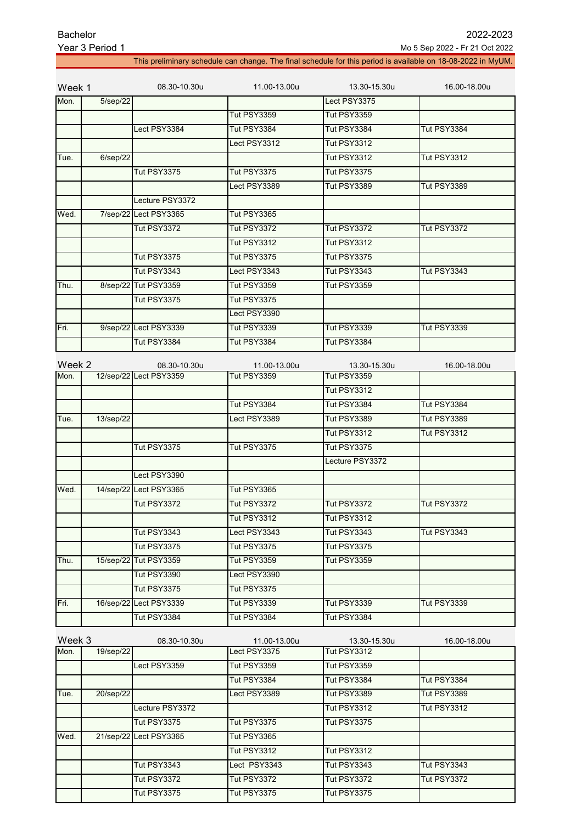| Bachelor        |  |  |  |  |  |  |
|-----------------|--|--|--|--|--|--|
| Voor 2 Doriod 1 |  |  |  |  |  |  |

This preliminary schedule can change. The final schedule for this period is available on 18-08-2022 in MyUM.

| Lect PSY3375<br>5/sep/22<br><b>Tut PSY3359</b><br><b>Tut PSY3359</b><br>Lect PSY3384<br><b>Tut PSY3384</b><br><b>Tut PSY3384</b><br><b>Tut PSY3384</b><br>Lect PSY3312<br>Tut PSY3312<br>$6$ /sep $/22$<br><b>Tut PSY3312</b><br><b>Tut PSY3312</b><br>Tue.<br><b>Tut PSY3375</b><br><b>Tut PSY3375</b><br><b>Tut PSY3375</b><br>Lect PSY3389<br><b>Tut PSY3389</b><br>Tut PSY3389<br>Lecture PSY3372<br><b>Tut PSY3365</b><br>7/sep/22 Lect PSY3365<br>Wed.<br><b>Tut PSY3372</b><br><b>Tut PSY3372</b><br><b>Tut PSY3372</b><br><b>Tut PSY3372</b><br>Tut PSY3312<br>Tut PSY3312<br><b>Tut PSY3375</b><br><b>Tut PSY3375</b><br><b>Tut PSY3375</b><br><b>Tut PSY3343</b><br>Lect PSY3343<br><b>Tut PSY3343</b><br><b>Tut PSY3343</b><br>8/sep/22 Tut PSY3359<br><b>Tut PSY3359</b><br><b>Tut PSY3359</b><br>Thu.<br>Tut PSY3375<br>Tut PSY3375<br>Lect PSY3390<br>9/sep/22 Lect PSY3339<br><b>Tut PSY3339</b><br><b>Tut PSY3339</b><br><b>Tut PSY3339</b><br>Tut PSY3384<br>Tut PSY3384<br>Tut PSY3384<br>Week 2<br>08.30-10.30u<br>11.00-13.00u<br>13.30-15.30u<br>16.00-18.00u<br>12/sep/22 Lect PSY3359<br>Tut PSY3359<br>Tut PSY3359<br><b>Tut PSY3312</b><br><b>Tut PSY3384</b><br>Tut PSY3384<br>Tut PSY3384<br>13/sep/22<br>Tut PSY3389<br>Tut PSY3389<br>Lect PSY3389<br>Tue.<br><b>Tut PSY3312</b><br><b>Tut PSY3312</b><br><b>Tut PSY3375</b><br><b>Tut PSY3375</b><br><b>Tut PSY3375</b><br>Lecture PSY3372<br>Lect PSY3390<br>14/sep/22 Lect PSY3365<br><b>Tut PSY3365</b><br>Wed.<br><b>Tut PSY3372</b><br><b>Tut PSY3372</b><br><b>Tut PSY3372</b><br><b>Tut PSY3372</b><br><b>Tut PSY3312</b><br><b>Tut PSY3312</b><br><b>Tut PSY3343</b><br>Lect PSY3343<br><b>Tut PSY3343</b><br>Tut PSY3343<br><b>Tut PSY3375</b><br><b>Tut PSY3375</b><br><b>Tut PSY3375</b><br>15/sep/22 Tut PSY3359<br><b>Tut PSY3359</b><br><b>Tut PSY3359</b><br>Thu.<br><b>Tut PSY3390</b><br>Lect PSY3390<br><b>Tut PSY3375</b><br><b>Tut PSY3375</b><br>16/sep/22<br>Lect PSY3339<br><b>Tut PSY3339</b><br><b>Tut PSY3339</b><br><b>Tut PSY3339</b><br>Tut PSY3384<br><b>Tut PSY3384</b><br>Tut PSY3384<br>Week 3<br>08.30-10.30u<br>11.00-13.00u<br>13.30-15.30u<br>16.00-18.00u<br>Lect PSY3375<br><b>Tut PSY3312</b><br>19/sep/22<br>Lect PSY3359<br><b>Tut PSY3359</b><br><b>Tut PSY3359</b><br><b>Tut PSY3384</b><br>Tut PSY3384<br>Tut PSY3384<br>Tut PSY3389<br>20/sep/22<br>Lect PSY3389<br><b>Tut PSY3389</b><br>Tue.<br>Lecture PSY3372<br><b>Tut PSY3312</b><br><b>Tut PSY3312</b><br><b>Tut PSY3375</b><br><b>Tut PSY3375</b><br><b>Tut PSY3375</b><br>21/sep/22 Lect PSY3365<br>Tut PSY3365<br>Wed.<br><b>Tut PSY3312</b><br><b>Tut PSY3312</b><br><b>Tut PSY3343</b><br>Lect PSY3343<br>Tut PSY3343<br><b>Tut PSY3343</b><br><b>Tut PSY3372</b><br><b>Tut PSY3372</b><br><b>Tut PSY3372</b><br><b>Tut PSY3372</b><br>Tut PSY3375<br>Tut PSY3375<br>Tut PSY3375 | Week 1 | 08.30-10.30u | 11.00-13.00u | 13.30-15.30u | 16.00-18.00u |
|--------------------------------------------------------------------------------------------------------------------------------------------------------------------------------------------------------------------------------------------------------------------------------------------------------------------------------------------------------------------------------------------------------------------------------------------------------------------------------------------------------------------------------------------------------------------------------------------------------------------------------------------------------------------------------------------------------------------------------------------------------------------------------------------------------------------------------------------------------------------------------------------------------------------------------------------------------------------------------------------------------------------------------------------------------------------------------------------------------------------------------------------------------------------------------------------------------------------------------------------------------------------------------------------------------------------------------------------------------------------------------------------------------------------------------------------------------------------------------------------------------------------------------------------------------------------------------------------------------------------------------------------------------------------------------------------------------------------------------------------------------------------------------------------------------------------------------------------------------------------------------------------------------------------------------------------------------------------------------------------------------------------------------------------------------------------------------------------------------------------------------------------------------------------------------------------------------------------------------------------------------------------------------------------------------------------------------------------------------------------------------------------------------------------------------------------------------------------------------------------------------------------------------------------------------------------------------------------------------------------------------------------------------------------------------------------------------------------------------------------------------------------------------------------------------------------------------------------------------------------------|--------|--------------|--------------|--------------|--------------|
|                                                                                                                                                                                                                                                                                                                                                                                                                                                                                                                                                                                                                                                                                                                                                                                                                                                                                                                                                                                                                                                                                                                                                                                                                                                                                                                                                                                                                                                                                                                                                                                                                                                                                                                                                                                                                                                                                                                                                                                                                                                                                                                                                                                                                                                                                                                                                                                                                                                                                                                                                                                                                                                                                                                                                                                                                                                                          | Mon.   |              |              |              |              |
|                                                                                                                                                                                                                                                                                                                                                                                                                                                                                                                                                                                                                                                                                                                                                                                                                                                                                                                                                                                                                                                                                                                                                                                                                                                                                                                                                                                                                                                                                                                                                                                                                                                                                                                                                                                                                                                                                                                                                                                                                                                                                                                                                                                                                                                                                                                                                                                                                                                                                                                                                                                                                                                                                                                                                                                                                                                                          |        |              |              |              |              |
|                                                                                                                                                                                                                                                                                                                                                                                                                                                                                                                                                                                                                                                                                                                                                                                                                                                                                                                                                                                                                                                                                                                                                                                                                                                                                                                                                                                                                                                                                                                                                                                                                                                                                                                                                                                                                                                                                                                                                                                                                                                                                                                                                                                                                                                                                                                                                                                                                                                                                                                                                                                                                                                                                                                                                                                                                                                                          |        |              |              |              |              |
|                                                                                                                                                                                                                                                                                                                                                                                                                                                                                                                                                                                                                                                                                                                                                                                                                                                                                                                                                                                                                                                                                                                                                                                                                                                                                                                                                                                                                                                                                                                                                                                                                                                                                                                                                                                                                                                                                                                                                                                                                                                                                                                                                                                                                                                                                                                                                                                                                                                                                                                                                                                                                                                                                                                                                                                                                                                                          |        |              |              |              |              |
|                                                                                                                                                                                                                                                                                                                                                                                                                                                                                                                                                                                                                                                                                                                                                                                                                                                                                                                                                                                                                                                                                                                                                                                                                                                                                                                                                                                                                                                                                                                                                                                                                                                                                                                                                                                                                                                                                                                                                                                                                                                                                                                                                                                                                                                                                                                                                                                                                                                                                                                                                                                                                                                                                                                                                                                                                                                                          |        |              |              |              |              |
|                                                                                                                                                                                                                                                                                                                                                                                                                                                                                                                                                                                                                                                                                                                                                                                                                                                                                                                                                                                                                                                                                                                                                                                                                                                                                                                                                                                                                                                                                                                                                                                                                                                                                                                                                                                                                                                                                                                                                                                                                                                                                                                                                                                                                                                                                                                                                                                                                                                                                                                                                                                                                                                                                                                                                                                                                                                                          |        |              |              |              |              |
|                                                                                                                                                                                                                                                                                                                                                                                                                                                                                                                                                                                                                                                                                                                                                                                                                                                                                                                                                                                                                                                                                                                                                                                                                                                                                                                                                                                                                                                                                                                                                                                                                                                                                                                                                                                                                                                                                                                                                                                                                                                                                                                                                                                                                                                                                                                                                                                                                                                                                                                                                                                                                                                                                                                                                                                                                                                                          |        |              |              |              |              |
|                                                                                                                                                                                                                                                                                                                                                                                                                                                                                                                                                                                                                                                                                                                                                                                                                                                                                                                                                                                                                                                                                                                                                                                                                                                                                                                                                                                                                                                                                                                                                                                                                                                                                                                                                                                                                                                                                                                                                                                                                                                                                                                                                                                                                                                                                                                                                                                                                                                                                                                                                                                                                                                                                                                                                                                                                                                                          |        |              |              |              |              |
|                                                                                                                                                                                                                                                                                                                                                                                                                                                                                                                                                                                                                                                                                                                                                                                                                                                                                                                                                                                                                                                                                                                                                                                                                                                                                                                                                                                                                                                                                                                                                                                                                                                                                                                                                                                                                                                                                                                                                                                                                                                                                                                                                                                                                                                                                                                                                                                                                                                                                                                                                                                                                                                                                                                                                                                                                                                                          |        |              |              |              |              |
|                                                                                                                                                                                                                                                                                                                                                                                                                                                                                                                                                                                                                                                                                                                                                                                                                                                                                                                                                                                                                                                                                                                                                                                                                                                                                                                                                                                                                                                                                                                                                                                                                                                                                                                                                                                                                                                                                                                                                                                                                                                                                                                                                                                                                                                                                                                                                                                                                                                                                                                                                                                                                                                                                                                                                                                                                                                                          |        |              |              |              |              |
|                                                                                                                                                                                                                                                                                                                                                                                                                                                                                                                                                                                                                                                                                                                                                                                                                                                                                                                                                                                                                                                                                                                                                                                                                                                                                                                                                                                                                                                                                                                                                                                                                                                                                                                                                                                                                                                                                                                                                                                                                                                                                                                                                                                                                                                                                                                                                                                                                                                                                                                                                                                                                                                                                                                                                                                                                                                                          |        |              |              |              |              |
|                                                                                                                                                                                                                                                                                                                                                                                                                                                                                                                                                                                                                                                                                                                                                                                                                                                                                                                                                                                                                                                                                                                                                                                                                                                                                                                                                                                                                                                                                                                                                                                                                                                                                                                                                                                                                                                                                                                                                                                                                                                                                                                                                                                                                                                                                                                                                                                                                                                                                                                                                                                                                                                                                                                                                                                                                                                                          |        |              |              |              |              |
|                                                                                                                                                                                                                                                                                                                                                                                                                                                                                                                                                                                                                                                                                                                                                                                                                                                                                                                                                                                                                                                                                                                                                                                                                                                                                                                                                                                                                                                                                                                                                                                                                                                                                                                                                                                                                                                                                                                                                                                                                                                                                                                                                                                                                                                                                                                                                                                                                                                                                                                                                                                                                                                                                                                                                                                                                                                                          |        |              |              |              |              |
|                                                                                                                                                                                                                                                                                                                                                                                                                                                                                                                                                                                                                                                                                                                                                                                                                                                                                                                                                                                                                                                                                                                                                                                                                                                                                                                                                                                                                                                                                                                                                                                                                                                                                                                                                                                                                                                                                                                                                                                                                                                                                                                                                                                                                                                                                                                                                                                                                                                                                                                                                                                                                                                                                                                                                                                                                                                                          |        |              |              |              |              |
|                                                                                                                                                                                                                                                                                                                                                                                                                                                                                                                                                                                                                                                                                                                                                                                                                                                                                                                                                                                                                                                                                                                                                                                                                                                                                                                                                                                                                                                                                                                                                                                                                                                                                                                                                                                                                                                                                                                                                                                                                                                                                                                                                                                                                                                                                                                                                                                                                                                                                                                                                                                                                                                                                                                                                                                                                                                                          |        |              |              |              |              |
|                                                                                                                                                                                                                                                                                                                                                                                                                                                                                                                                                                                                                                                                                                                                                                                                                                                                                                                                                                                                                                                                                                                                                                                                                                                                                                                                                                                                                                                                                                                                                                                                                                                                                                                                                                                                                                                                                                                                                                                                                                                                                                                                                                                                                                                                                                                                                                                                                                                                                                                                                                                                                                                                                                                                                                                                                                                                          |        |              |              |              |              |
|                                                                                                                                                                                                                                                                                                                                                                                                                                                                                                                                                                                                                                                                                                                                                                                                                                                                                                                                                                                                                                                                                                                                                                                                                                                                                                                                                                                                                                                                                                                                                                                                                                                                                                                                                                                                                                                                                                                                                                                                                                                                                                                                                                                                                                                                                                                                                                                                                                                                                                                                                                                                                                                                                                                                                                                                                                                                          | Fri.   |              |              |              |              |
|                                                                                                                                                                                                                                                                                                                                                                                                                                                                                                                                                                                                                                                                                                                                                                                                                                                                                                                                                                                                                                                                                                                                                                                                                                                                                                                                                                                                                                                                                                                                                                                                                                                                                                                                                                                                                                                                                                                                                                                                                                                                                                                                                                                                                                                                                                                                                                                                                                                                                                                                                                                                                                                                                                                                                                                                                                                                          |        |              |              |              |              |
|                                                                                                                                                                                                                                                                                                                                                                                                                                                                                                                                                                                                                                                                                                                                                                                                                                                                                                                                                                                                                                                                                                                                                                                                                                                                                                                                                                                                                                                                                                                                                                                                                                                                                                                                                                                                                                                                                                                                                                                                                                                                                                                                                                                                                                                                                                                                                                                                                                                                                                                                                                                                                                                                                                                                                                                                                                                                          |        |              |              |              |              |
|                                                                                                                                                                                                                                                                                                                                                                                                                                                                                                                                                                                                                                                                                                                                                                                                                                                                                                                                                                                                                                                                                                                                                                                                                                                                                                                                                                                                                                                                                                                                                                                                                                                                                                                                                                                                                                                                                                                                                                                                                                                                                                                                                                                                                                                                                                                                                                                                                                                                                                                                                                                                                                                                                                                                                                                                                                                                          | Mon.   |              |              |              |              |
|                                                                                                                                                                                                                                                                                                                                                                                                                                                                                                                                                                                                                                                                                                                                                                                                                                                                                                                                                                                                                                                                                                                                                                                                                                                                                                                                                                                                                                                                                                                                                                                                                                                                                                                                                                                                                                                                                                                                                                                                                                                                                                                                                                                                                                                                                                                                                                                                                                                                                                                                                                                                                                                                                                                                                                                                                                                                          |        |              |              |              |              |
|                                                                                                                                                                                                                                                                                                                                                                                                                                                                                                                                                                                                                                                                                                                                                                                                                                                                                                                                                                                                                                                                                                                                                                                                                                                                                                                                                                                                                                                                                                                                                                                                                                                                                                                                                                                                                                                                                                                                                                                                                                                                                                                                                                                                                                                                                                                                                                                                                                                                                                                                                                                                                                                                                                                                                                                                                                                                          |        |              |              |              |              |
|                                                                                                                                                                                                                                                                                                                                                                                                                                                                                                                                                                                                                                                                                                                                                                                                                                                                                                                                                                                                                                                                                                                                                                                                                                                                                                                                                                                                                                                                                                                                                                                                                                                                                                                                                                                                                                                                                                                                                                                                                                                                                                                                                                                                                                                                                                                                                                                                                                                                                                                                                                                                                                                                                                                                                                                                                                                                          |        |              |              |              |              |
|                                                                                                                                                                                                                                                                                                                                                                                                                                                                                                                                                                                                                                                                                                                                                                                                                                                                                                                                                                                                                                                                                                                                                                                                                                                                                                                                                                                                                                                                                                                                                                                                                                                                                                                                                                                                                                                                                                                                                                                                                                                                                                                                                                                                                                                                                                                                                                                                                                                                                                                                                                                                                                                                                                                                                                                                                                                                          |        |              |              |              |              |
|                                                                                                                                                                                                                                                                                                                                                                                                                                                                                                                                                                                                                                                                                                                                                                                                                                                                                                                                                                                                                                                                                                                                                                                                                                                                                                                                                                                                                                                                                                                                                                                                                                                                                                                                                                                                                                                                                                                                                                                                                                                                                                                                                                                                                                                                                                                                                                                                                                                                                                                                                                                                                                                                                                                                                                                                                                                                          |        |              |              |              |              |
|                                                                                                                                                                                                                                                                                                                                                                                                                                                                                                                                                                                                                                                                                                                                                                                                                                                                                                                                                                                                                                                                                                                                                                                                                                                                                                                                                                                                                                                                                                                                                                                                                                                                                                                                                                                                                                                                                                                                                                                                                                                                                                                                                                                                                                                                                                                                                                                                                                                                                                                                                                                                                                                                                                                                                                                                                                                                          |        |              |              |              |              |
|                                                                                                                                                                                                                                                                                                                                                                                                                                                                                                                                                                                                                                                                                                                                                                                                                                                                                                                                                                                                                                                                                                                                                                                                                                                                                                                                                                                                                                                                                                                                                                                                                                                                                                                                                                                                                                                                                                                                                                                                                                                                                                                                                                                                                                                                                                                                                                                                                                                                                                                                                                                                                                                                                                                                                                                                                                                                          |        |              |              |              |              |
|                                                                                                                                                                                                                                                                                                                                                                                                                                                                                                                                                                                                                                                                                                                                                                                                                                                                                                                                                                                                                                                                                                                                                                                                                                                                                                                                                                                                                                                                                                                                                                                                                                                                                                                                                                                                                                                                                                                                                                                                                                                                                                                                                                                                                                                                                                                                                                                                                                                                                                                                                                                                                                                                                                                                                                                                                                                                          |        |              |              |              |              |
|                                                                                                                                                                                                                                                                                                                                                                                                                                                                                                                                                                                                                                                                                                                                                                                                                                                                                                                                                                                                                                                                                                                                                                                                                                                                                                                                                                                                                                                                                                                                                                                                                                                                                                                                                                                                                                                                                                                                                                                                                                                                                                                                                                                                                                                                                                                                                                                                                                                                                                                                                                                                                                                                                                                                                                                                                                                                          |        |              |              |              |              |
|                                                                                                                                                                                                                                                                                                                                                                                                                                                                                                                                                                                                                                                                                                                                                                                                                                                                                                                                                                                                                                                                                                                                                                                                                                                                                                                                                                                                                                                                                                                                                                                                                                                                                                                                                                                                                                                                                                                                                                                                                                                                                                                                                                                                                                                                                                                                                                                                                                                                                                                                                                                                                                                                                                                                                                                                                                                                          |        |              |              |              |              |
|                                                                                                                                                                                                                                                                                                                                                                                                                                                                                                                                                                                                                                                                                                                                                                                                                                                                                                                                                                                                                                                                                                                                                                                                                                                                                                                                                                                                                                                                                                                                                                                                                                                                                                                                                                                                                                                                                                                                                                                                                                                                                                                                                                                                                                                                                                                                                                                                                                                                                                                                                                                                                                                                                                                                                                                                                                                                          |        |              |              |              |              |
|                                                                                                                                                                                                                                                                                                                                                                                                                                                                                                                                                                                                                                                                                                                                                                                                                                                                                                                                                                                                                                                                                                                                                                                                                                                                                                                                                                                                                                                                                                                                                                                                                                                                                                                                                                                                                                                                                                                                                                                                                                                                                                                                                                                                                                                                                                                                                                                                                                                                                                                                                                                                                                                                                                                                                                                                                                                                          |        |              |              |              |              |
|                                                                                                                                                                                                                                                                                                                                                                                                                                                                                                                                                                                                                                                                                                                                                                                                                                                                                                                                                                                                                                                                                                                                                                                                                                                                                                                                                                                                                                                                                                                                                                                                                                                                                                                                                                                                                                                                                                                                                                                                                                                                                                                                                                                                                                                                                                                                                                                                                                                                                                                                                                                                                                                                                                                                                                                                                                                                          |        |              |              |              |              |
|                                                                                                                                                                                                                                                                                                                                                                                                                                                                                                                                                                                                                                                                                                                                                                                                                                                                                                                                                                                                                                                                                                                                                                                                                                                                                                                                                                                                                                                                                                                                                                                                                                                                                                                                                                                                                                                                                                                                                                                                                                                                                                                                                                                                                                                                                                                                                                                                                                                                                                                                                                                                                                                                                                                                                                                                                                                                          |        |              |              |              |              |
|                                                                                                                                                                                                                                                                                                                                                                                                                                                                                                                                                                                                                                                                                                                                                                                                                                                                                                                                                                                                                                                                                                                                                                                                                                                                                                                                                                                                                                                                                                                                                                                                                                                                                                                                                                                                                                                                                                                                                                                                                                                                                                                                                                                                                                                                                                                                                                                                                                                                                                                                                                                                                                                                                                                                                                                                                                                                          |        |              |              |              |              |
|                                                                                                                                                                                                                                                                                                                                                                                                                                                                                                                                                                                                                                                                                                                                                                                                                                                                                                                                                                                                                                                                                                                                                                                                                                                                                                                                                                                                                                                                                                                                                                                                                                                                                                                                                                                                                                                                                                                                                                                                                                                                                                                                                                                                                                                                                                                                                                                                                                                                                                                                                                                                                                                                                                                                                                                                                                                                          | Fri.   |              |              |              |              |
|                                                                                                                                                                                                                                                                                                                                                                                                                                                                                                                                                                                                                                                                                                                                                                                                                                                                                                                                                                                                                                                                                                                                                                                                                                                                                                                                                                                                                                                                                                                                                                                                                                                                                                                                                                                                                                                                                                                                                                                                                                                                                                                                                                                                                                                                                                                                                                                                                                                                                                                                                                                                                                                                                                                                                                                                                                                                          |        |              |              |              |              |
|                                                                                                                                                                                                                                                                                                                                                                                                                                                                                                                                                                                                                                                                                                                                                                                                                                                                                                                                                                                                                                                                                                                                                                                                                                                                                                                                                                                                                                                                                                                                                                                                                                                                                                                                                                                                                                                                                                                                                                                                                                                                                                                                                                                                                                                                                                                                                                                                                                                                                                                                                                                                                                                                                                                                                                                                                                                                          |        |              |              |              |              |
|                                                                                                                                                                                                                                                                                                                                                                                                                                                                                                                                                                                                                                                                                                                                                                                                                                                                                                                                                                                                                                                                                                                                                                                                                                                                                                                                                                                                                                                                                                                                                                                                                                                                                                                                                                                                                                                                                                                                                                                                                                                                                                                                                                                                                                                                                                                                                                                                                                                                                                                                                                                                                                                                                                                                                                                                                                                                          | Mon.   |              |              |              |              |
|                                                                                                                                                                                                                                                                                                                                                                                                                                                                                                                                                                                                                                                                                                                                                                                                                                                                                                                                                                                                                                                                                                                                                                                                                                                                                                                                                                                                                                                                                                                                                                                                                                                                                                                                                                                                                                                                                                                                                                                                                                                                                                                                                                                                                                                                                                                                                                                                                                                                                                                                                                                                                                                                                                                                                                                                                                                                          |        |              |              |              |              |
|                                                                                                                                                                                                                                                                                                                                                                                                                                                                                                                                                                                                                                                                                                                                                                                                                                                                                                                                                                                                                                                                                                                                                                                                                                                                                                                                                                                                                                                                                                                                                                                                                                                                                                                                                                                                                                                                                                                                                                                                                                                                                                                                                                                                                                                                                                                                                                                                                                                                                                                                                                                                                                                                                                                                                                                                                                                                          |        |              |              |              |              |
|                                                                                                                                                                                                                                                                                                                                                                                                                                                                                                                                                                                                                                                                                                                                                                                                                                                                                                                                                                                                                                                                                                                                                                                                                                                                                                                                                                                                                                                                                                                                                                                                                                                                                                                                                                                                                                                                                                                                                                                                                                                                                                                                                                                                                                                                                                                                                                                                                                                                                                                                                                                                                                                                                                                                                                                                                                                                          |        |              |              |              |              |
|                                                                                                                                                                                                                                                                                                                                                                                                                                                                                                                                                                                                                                                                                                                                                                                                                                                                                                                                                                                                                                                                                                                                                                                                                                                                                                                                                                                                                                                                                                                                                                                                                                                                                                                                                                                                                                                                                                                                                                                                                                                                                                                                                                                                                                                                                                                                                                                                                                                                                                                                                                                                                                                                                                                                                                                                                                                                          |        |              |              |              |              |
|                                                                                                                                                                                                                                                                                                                                                                                                                                                                                                                                                                                                                                                                                                                                                                                                                                                                                                                                                                                                                                                                                                                                                                                                                                                                                                                                                                                                                                                                                                                                                                                                                                                                                                                                                                                                                                                                                                                                                                                                                                                                                                                                                                                                                                                                                                                                                                                                                                                                                                                                                                                                                                                                                                                                                                                                                                                                          |        |              |              |              |              |
|                                                                                                                                                                                                                                                                                                                                                                                                                                                                                                                                                                                                                                                                                                                                                                                                                                                                                                                                                                                                                                                                                                                                                                                                                                                                                                                                                                                                                                                                                                                                                                                                                                                                                                                                                                                                                                                                                                                                                                                                                                                                                                                                                                                                                                                                                                                                                                                                                                                                                                                                                                                                                                                                                                                                                                                                                                                                          |        |              |              |              |              |
|                                                                                                                                                                                                                                                                                                                                                                                                                                                                                                                                                                                                                                                                                                                                                                                                                                                                                                                                                                                                                                                                                                                                                                                                                                                                                                                                                                                                                                                                                                                                                                                                                                                                                                                                                                                                                                                                                                                                                                                                                                                                                                                                                                                                                                                                                                                                                                                                                                                                                                                                                                                                                                                                                                                                                                                                                                                                          |        |              |              |              |              |
|                                                                                                                                                                                                                                                                                                                                                                                                                                                                                                                                                                                                                                                                                                                                                                                                                                                                                                                                                                                                                                                                                                                                                                                                                                                                                                                                                                                                                                                                                                                                                                                                                                                                                                                                                                                                                                                                                                                                                                                                                                                                                                                                                                                                                                                                                                                                                                                                                                                                                                                                                                                                                                                                                                                                                                                                                                                                          |        |              |              |              |              |
|                                                                                                                                                                                                                                                                                                                                                                                                                                                                                                                                                                                                                                                                                                                                                                                                                                                                                                                                                                                                                                                                                                                                                                                                                                                                                                                                                                                                                                                                                                                                                                                                                                                                                                                                                                                                                                                                                                                                                                                                                                                                                                                                                                                                                                                                                                                                                                                                                                                                                                                                                                                                                                                                                                                                                                                                                                                                          |        |              |              |              |              |
|                                                                                                                                                                                                                                                                                                                                                                                                                                                                                                                                                                                                                                                                                                                                                                                                                                                                                                                                                                                                                                                                                                                                                                                                                                                                                                                                                                                                                                                                                                                                                                                                                                                                                                                                                                                                                                                                                                                                                                                                                                                                                                                                                                                                                                                                                                                                                                                                                                                                                                                                                                                                                                                                                                                                                                                                                                                                          |        |              |              |              |              |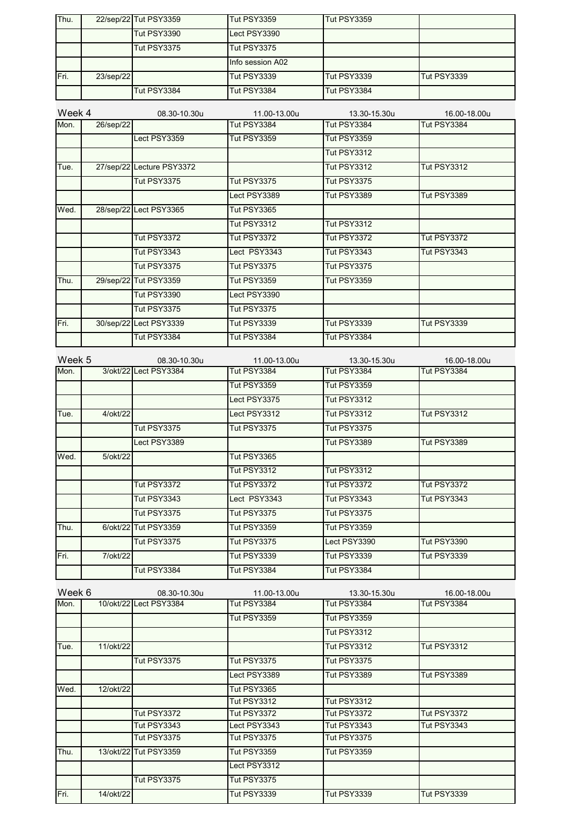| Thu. |              | 22/sep/22 Tut PSY3359 | <b>Tut PSY3359</b> | <b>Tut PSY3359</b> |             |
|------|--------------|-----------------------|--------------------|--------------------|-------------|
|      |              | <b>Tut PSY3390</b>    | Lect PSY3390       |                    |             |
|      |              | <b>Tut PSY3375</b>    | <b>Tut PSY3375</b> |                    |             |
|      |              |                       | Info session A02   |                    |             |
| Fri. | $23$ /sep/22 |                       | <b>Tut PSY3339</b> | <b>Tut PSY3339</b> | Tut PSY3339 |
|      |              | <b>Tut PSY3384</b>    | Tut PSY3384        | <b>Tut PSY3384</b> |             |

| Week 4 |           | 08.30-10.30u              | 11.00-13.00u       | 13.30-15.30u       | 16.00-18.00u       |
|--------|-----------|---------------------------|--------------------|--------------------|--------------------|
| Mon.   | 26/sep/22 |                           | <b>Tut PSY3384</b> | <b>Tut PSY3384</b> | <b>Tut PSY3384</b> |
|        |           | Lect PSY3359              | <b>Tut PSY3359</b> | <b>Tut PSY3359</b> |                    |
|        |           |                           |                    | <b>Tut PSY3312</b> |                    |
| Tue.   |           | 27/sep/22 Lecture PSY3372 |                    | <b>Tut PSY3312</b> | <b>Tut PSY3312</b> |
|        |           | <b>Tut PSY3375</b>        | <b>Tut PSY3375</b> | <b>Tut PSY3375</b> |                    |
|        |           |                           | Lect PSY3389       | <b>Tut PSY3389</b> | <b>Tut PSY3389</b> |
| Wed.   |           | 28/sep/22 Lect PSY3365    | <b>Tut PSY3365</b> |                    |                    |
|        |           |                           | <b>Tut PSY3312</b> | <b>Tut PSY3312</b> |                    |
|        |           | <b>Tut PSY3372</b>        | <b>Tut PSY3372</b> | <b>Tut PSY3372</b> | <b>Tut PSY3372</b> |
|        |           | <b>Tut PSY3343</b>        | Lect PSY3343       | <b>Tut PSY3343</b> | <b>Tut PSY3343</b> |
|        |           | <b>Tut PSY3375</b>        | <b>Tut PSY3375</b> | <b>Tut PSY3375</b> |                    |
| Thu.   |           | 29/sep/22 Tut PSY3359     | <b>Tut PSY3359</b> | <b>Tut PSY3359</b> |                    |
|        |           | <b>Tut PSY3390</b>        | Lect PSY3390       |                    |                    |
|        |           | <b>Tut PSY3375</b>        | <b>Tut PSY3375</b> |                    |                    |
| Fri.   |           | 30/sep/22 Lect PSY3339    | <b>Tut PSY3339</b> | <b>Tut PSY3339</b> | <b>Tut PSY3339</b> |
|        |           | <b>Tut PSY3384</b>        | <b>Tut PSY3384</b> | Tut PSY3384        |                    |

| Week 5 |          | 08.30-10.30u          | 11.00-13.00u       | 13.30-15.30u       | 16.00-18.00u       |
|--------|----------|-----------------------|--------------------|--------------------|--------------------|
| Mon.   |          | 3/okt/22 Lect PSY3384 | <b>Tut PSY3384</b> | Tut PSY3384        | <b>Tut PSY3384</b> |
|        |          |                       | <b>Tut PSY3359</b> | <b>Tut PSY3359</b> |                    |
|        |          |                       | Lect PSY3375       | <b>Tut PSY3312</b> |                    |
| Tue.   | 4/okt/22 |                       | Lect PSY3312       | <b>Tut PSY3312</b> | <b>Tut PSY3312</b> |
|        |          | <b>Tut PSY3375</b>    | <b>Tut PSY3375</b> | <b>Tut PSY3375</b> |                    |
|        |          | Lect PSY3389          |                    | <b>Tut PSY3389</b> | <b>Tut PSY3389</b> |
| Wed.   | 5/okt/22 |                       | <b>Tut PSY3365</b> |                    |                    |
|        |          |                       | <b>Tut PSY3312</b> | <b>Tut PSY3312</b> |                    |
|        |          | <b>Tut PSY3372</b>    | <b>Tut PSY3372</b> | <b>Tut PSY3372</b> | <b>Tut PSY3372</b> |
|        |          | <b>Tut PSY3343</b>    | Lect PSY3343       | <b>Tut PSY3343</b> | <b>Tut PSY3343</b> |
|        |          | <b>Tut PSY3375</b>    | <b>Tut PSY3375</b> | <b>Tut PSY3375</b> |                    |
| Thu.   |          | 6/okt/22 Tut PSY3359  | <b>Tut PSY3359</b> | <b>Tut PSY3359</b> |                    |
|        |          | <b>Tut PSY3375</b>    | <b>Tut PSY3375</b> | Lect PSY3390       | <b>Tut PSY3390</b> |
| Fri.   | 7/okt/22 |                       | <b>Tut PSY3339</b> | <b>Tut PSY3339</b> | <b>Tut PSY3339</b> |
|        |          | <b>Tut PSY3384</b>    | <b>Tut PSY3384</b> | <b>Tut PSY3384</b> |                    |

| Week 6 |           | 08.30-10.30u           | 11.00-13.00u       | 13.30-15.30u       | 16.00-18.00u       |
|--------|-----------|------------------------|--------------------|--------------------|--------------------|
| Mon.   |           | 10/okt/22 Lect PSY3384 | <b>Tut PSY3384</b> | <b>Tut PSY3384</b> | <b>Tut PSY3384</b> |
|        |           |                        | <b>Tut PSY3359</b> | <b>Tut PSY3359</b> |                    |
|        |           |                        |                    | <b>Tut PSY3312</b> |                    |
| Tue.   | 11/okt/22 |                        |                    | <b>Tut PSY3312</b> | <b>Tut PSY3312</b> |
|        |           | <b>Tut PSY3375</b>     | <b>Tut PSY3375</b> | <b>Tut PSY3375</b> |                    |
|        |           |                        | Lect PSY3389       | <b>Tut PSY3389</b> | <b>Tut PSY3389</b> |
| Wed.   | 12/okt/22 |                        | <b>Tut PSY3365</b> |                    |                    |
|        |           |                        | <b>Tut PSY3312</b> | <b>Tut PSY3312</b> |                    |
|        |           | <b>Tut PSY3372</b>     | <b>Tut PSY3372</b> | <b>Tut PSY3372</b> | <b>Tut PSY3372</b> |
|        |           | <b>Tut PSY3343</b>     | Lect PSY3343       | <b>Tut PSY3343</b> | <b>Tut PSY3343</b> |
|        |           | <b>Tut PSY3375</b>     | Tut PSY3375        | <b>Tut PSY3375</b> |                    |
| Thu.   |           | 13/okt/22 Tut PSY3359  | <b>Tut PSY3359</b> | <b>Tut PSY3359</b> |                    |
|        |           |                        | Lect PSY3312       |                    |                    |
|        |           | <b>Tut PSY3375</b>     | <b>Tut PSY3375</b> |                    |                    |
| Fri.   | 14/okt/22 |                        | Tut PSY3339        | <b>Tut PSY3339</b> | <b>Tut PSY3339</b> |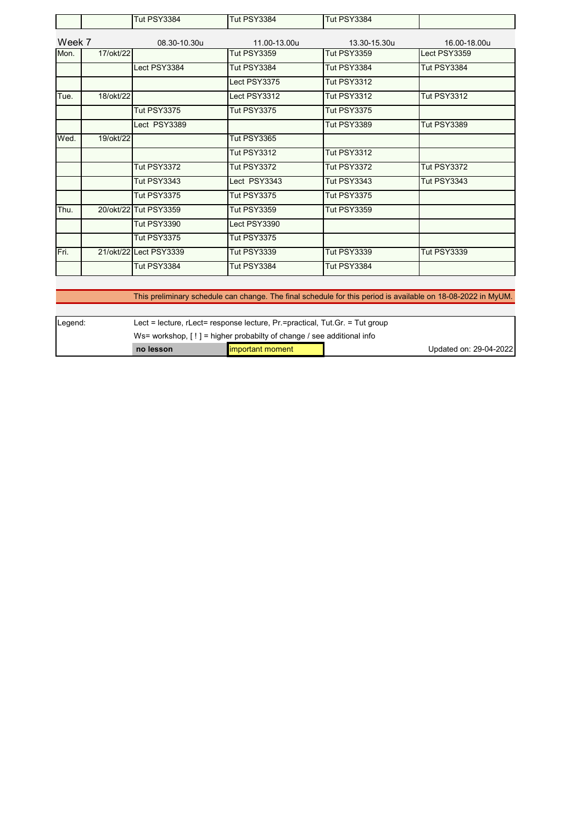|        |           | <b>Tut PSY3384</b>     | <b>Tut PSY3384</b> | <b>Tut PSY3384</b> |                    |
|--------|-----------|------------------------|--------------------|--------------------|--------------------|
| Week 7 |           | 08.30-10.30u           | 11.00-13.00u       | 13.30-15.30u       | 16.00-18.00u       |
| Mon.   | 17/okt/22 |                        | <b>Tut PSY3359</b> | <b>Tut PSY3359</b> | Lect PSY3359       |
|        |           | Lect PSY3384           | Tut PSY3384        | Tut PSY3384        | <b>Tut PSY3384</b> |
|        |           |                        | Lect PSY3375       | <b>Tut PSY3312</b> |                    |
| Tue.   | 18/okt/22 |                        | Lect PSY3312       | <b>Tut PSY3312</b> | <b>Tut PSY3312</b> |
|        |           | <b>Tut PSY3375</b>     | <b>Tut PSY3375</b> | <b>Tut PSY3375</b> |                    |
|        |           | Lect PSY3389           |                    | <b>Tut PSY3389</b> | <b>Tut PSY3389</b> |
| Wed.   | 19/okt/22 |                        | <b>Tut PSY3365</b> |                    |                    |
|        |           |                        | <b>Tut PSY3312</b> | <b>Tut PSY3312</b> |                    |
|        |           | <b>Tut PSY3372</b>     | <b>Tut PSY3372</b> | <b>Tut PSY3372</b> | <b>Tut PSY3372</b> |
|        |           | <b>Tut PSY3343</b>     | Lect PSY3343       | <b>Tut PSY3343</b> | <b>Tut PSY3343</b> |
|        |           | <b>Tut PSY3375</b>     | <b>Tut PSY3375</b> | <b>Tut PSY3375</b> |                    |
| Thu.   |           | 20/okt/22 Tut PSY3359  | <b>Tut PSY3359</b> | <b>Tut PSY3359</b> |                    |
|        |           | <b>Tut PSY3390</b>     | Lect PSY3390       |                    |                    |
|        |           | <b>Tut PSY3375</b>     | Tut PSY3375        |                    |                    |
| Fri.   |           | 21/okt/22 Lect PSY3339 | <b>Tut PSY3339</b> | <b>Tut PSY3339</b> | <b>Tut PSY3339</b> |
|        |           | <b>Tut PSY3384</b>     | <b>Tut PSY3384</b> | <b>Tut PSY3384</b> |                    |

This preliminary schedule can change. The final schedule for this period is available on 18-08-2022 in MyUM.

| Legend: | Lect = lecture, $r$ Lect = response lecture, $Pr$ = practical, Tut. Gr. = Tut group |  |                        |  |  |
|---------|-------------------------------------------------------------------------------------|--|------------------------|--|--|
|         | Ws= workshop. $[ \cdot ]$ = higher probabilty of change / see additional info       |  |                        |  |  |
|         | important moment<br>no lesson                                                       |  | Updated on: 29-04-2022 |  |  |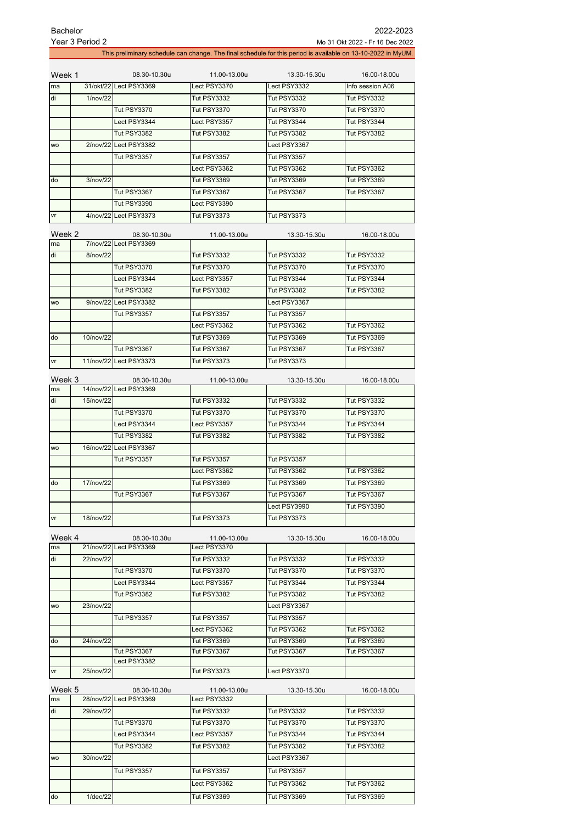| <b>Bachelor</b> | 2022-2023                                                                                                    |
|-----------------|--------------------------------------------------------------------------------------------------------------|
| Year 3 Period 2 | Mo 31 Okt 2022 - Fr 16 Dec 2022                                                                              |
|                 | This preliminary schedule can change. The final schedule for this period is available on 13-10-2022 in MyUM. |

| Week 1    |          | 08.30-10.30u           | 11.00-13.00u       | 13.30-15.30u       | 16.00-18.00u       |
|-----------|----------|------------------------|--------------------|--------------------|--------------------|
| ma        |          | 31/okt/22 Lect PSY3369 | Lect PSY3370       | Lect PSY3332       | Info session A06   |
| di        | 1/nov/22 |                        | <b>Tut PSY3332</b> | <b>Tut PSY3332</b> | <b>Tut PSY3332</b> |
|           |          | <b>Tut PSY3370</b>     | Tut PSY3370        | Tut PSY3370        | <b>Tut PSY3370</b> |
|           |          | Lect PSY3344           | Lect PSY3357       | Tut PSY3344        | Tut PSY3344        |
|           |          | Tut PSY3382            | <b>Tut PSY3382</b> | Tut PSY3382        | Tut PSY3382        |
| <b>WO</b> |          | 2/nov/22 Lect PSY3382  |                    | Lect PSY3367       |                    |
|           |          | <b>Tut PSY3357</b>     | <b>Tut PSY3357</b> | Tut PSY3357        |                    |
|           |          |                        | Lect PSY3362       | <b>Tut PSY3362</b> | <b>Tut PSY3362</b> |
| do        | 3/nov/22 |                        | <b>Tut PSY3369</b> | <b>Tut PSY3369</b> | <b>Tut PSY3369</b> |
|           |          | Tut PSY3367            | Tut PSY3367        | Tut PSY3367        | Tut PSY3367        |
|           |          | <b>Tut PSY3390</b>     | Lect PSY3390       |                    |                    |
| vr        |          | 4/nov/22 Lect PSY3373  | <b>Tut PSY3373</b> | <b>Tut PSY3373</b> |                    |

| Week 2    |           | 08.30-10.30u           | 11.00-13.00u       | 13.30-15.30u       | 16.00-18.00u       |
|-----------|-----------|------------------------|--------------------|--------------------|--------------------|
| ma        |           | 7/nov/22 Lect PSY3369  |                    |                    |                    |
| di        | 8/nov/22  |                        | <b>Tut PSY3332</b> | <b>Tut PSY3332</b> | <b>Tut PSY3332</b> |
|           |           | <b>Tut PSY3370</b>     | <b>Tut PSY3370</b> | Tut PSY3370        | <b>Tut PSY3370</b> |
|           |           | Lect PSY3344           | Lect PSY3357       | Tut PSY3344        | Tut PSY3344        |
|           |           | <b>Tut PSY3382</b>     | <b>Tut PSY3382</b> | <b>Tut PSY3382</b> | <b>Tut PSY3382</b> |
| <b>WO</b> |           | 9/nov/22 Lect PSY3382  |                    | Lect PSY3367       |                    |
|           |           | <b>Tut PSY3357</b>     | <b>Tut PSY3357</b> | <b>Tut PSY3357</b> |                    |
|           |           |                        | Lect PSY3362       | Tut PSY3362        | <b>Tut PSY3362</b> |
| do        | 10/nov/22 |                        | <b>Tut PSY3369</b> | <b>Tut PSY3369</b> | <b>Tut PSY3369</b> |
|           |           | Tut PSY3367            | Tut PSY3367        | Tut PSY3367        | Tut PSY3367        |
| vr        |           | 11/nov/22 Lect PSY3373 | <b>Tut PSY3373</b> | <b>Tut PSY3373</b> |                    |

| Week 3    |           | 08.30-10.30u           | 11.00-13.00u       | 13.30-15.30u       | 16.00-18.00u       |
|-----------|-----------|------------------------|--------------------|--------------------|--------------------|
| ma        |           | 14/nov/22 Lect PSY3369 |                    |                    |                    |
| di        | 15/nov/22 |                        | <b>Tut PSY3332</b> | <b>Tut PSY3332</b> | <b>Tut PSY3332</b> |
|           |           | <b>Tut PSY3370</b>     | <b>Tut PSY3370</b> | <b>Tut PSY3370</b> | <b>Tut PSY3370</b> |
|           |           | Lect PSY3344           | Lect PSY3357       | Tut PSY3344        | Tut PSY3344        |
|           |           | <b>Tut PSY3382</b>     | <b>Tut PSY3382</b> | <b>Tut PSY3382</b> | <b>Tut PSY3382</b> |
| <b>WO</b> |           | 16/nov/22 Lect PSY3367 |                    |                    |                    |
|           |           | <b>Tut PSY3357</b>     | <b>Tut PSY3357</b> | <b>Tut PSY3357</b> |                    |
|           |           |                        | Lect PSY3362       | <b>Tut PSY3362</b> | <b>Tut PSY3362</b> |
| do        | 17/nov/22 |                        | <b>Tut PSY3369</b> | <b>Tut PSY3369</b> | Tut PSY3369        |
|           |           | <b>Tut PSY3367</b>     | Tut PSY3367        | Tut PSY3367        | Tut PSY3367        |
|           |           |                        |                    | Lect PSY3990       | Tut PSY3390        |
| vr        | 18/nov/22 |                        | <b>Tut PSY3373</b> | <b>Tut PSY3373</b> |                    |

| Week 4    |           | 08.30-10.30u           | 11.00-13.00u       | 13.30-15.30u       | 16.00-18.00u       |
|-----------|-----------|------------------------|--------------------|--------------------|--------------------|
| ma        |           | 21/nov/22 Lect PSY3369 | Lect PSY3370       |                    |                    |
| di        | 22/nov/22 |                        | <b>Tut PSY3332</b> | <b>Tut PSY3332</b> | <b>Tut PSY3332</b> |
|           |           | <b>Tut PSY3370</b>     | <b>Tut PSY3370</b> | <b>Tut PSY3370</b> | <b>Tut PSY3370</b> |
|           |           | Lect PSY3344           | Lect PSY3357       | Tut PSY3344        | Tut PSY3344        |
|           |           | <b>Tut PSY3382</b>     | <b>Tut PSY3382</b> | <b>Tut PSY3382</b> | <b>Tut PSY3382</b> |
| <b>WO</b> | 23/nov/22 |                        |                    | Lect PSY3367       |                    |
|           |           | <b>Tut PSY3357</b>     | <b>Tut PSY3357</b> | <b>Tut PSY3357</b> |                    |
|           |           |                        | Lect PSY3362       | Tut PSY3362        | <b>Tut PSY3362</b> |
| do        | 24/nov/22 |                        | <b>Tut PSY3369</b> | <b>Tut PSY3369</b> | Tut PSY3369        |
|           |           | Tut PSY3367            | <b>Tut PSY3367</b> | Tut PSY3367        | Tut PSY3367        |
|           |           | Lect PSY3382           |                    |                    |                    |
| vr        | 25/nov/22 |                        | <b>Tut PSY3373</b> | Lect PSY3370       |                    |

| Week 5    |             | 08.30-10.30u           | 11.00-13.00u       | 13.30-15.30u       | 16.00-18.00u       |
|-----------|-------------|------------------------|--------------------|--------------------|--------------------|
| ma        |             | 28/nov/22 Lect PSY3369 | Lect PSY3332       |                    |                    |
| di        | 29/nov/22   |                        | <b>Tut PSY3332</b> | <b>Tut PSY3332</b> | <b>Tut PSY3332</b> |
|           |             | <b>Tut PSY3370</b>     | <b>Tut PSY3370</b> | <b>Tut PSY3370</b> | <b>Tut PSY3370</b> |
|           |             | Lect PSY3344           | Lect PSY3357       | Tut PSY3344        | Tut PSY3344        |
|           |             | <b>Tut PSY3382</b>     | <b>Tut PSY3382</b> | <b>Tut PSY3382</b> | <b>Tut PSY3382</b> |
| <b>WO</b> | 30/nov/22   |                        |                    | Lect PSY3367       |                    |
|           |             | <b>Tut PSY3357</b>     | <b>Tut PSY3357</b> | <b>Tut PSY3357</b> |                    |
|           |             |                        | Lect PSY3362       | <b>Tut PSY3362</b> | <b>Tut PSY3362</b> |
| do        | $1$ /dec/22 |                        | <b>Tut PSY3369</b> | Tut PSY3369        | <b>Tut PSY3369</b> |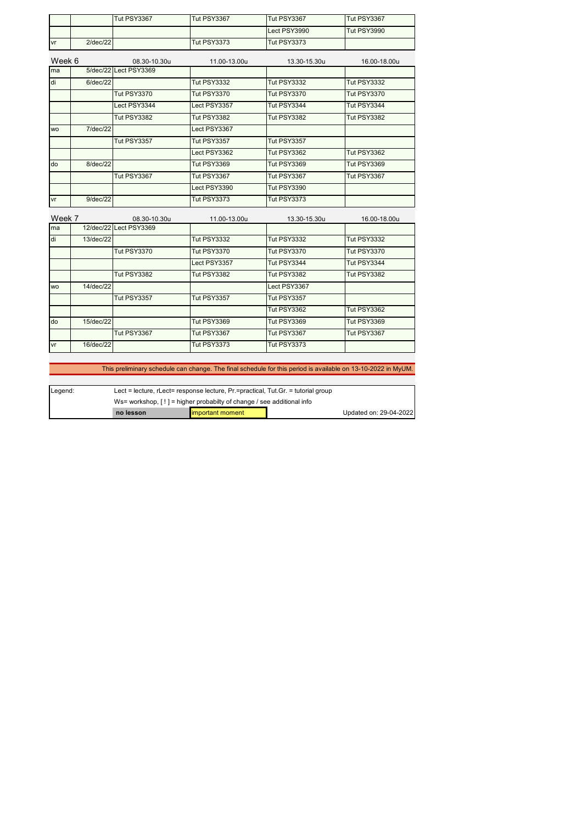|           |             | <b>Tut PSY3367</b>    | <b>Tut PSY3367</b> | Tut PSY3367        | Tut PSY3367        |
|-----------|-------------|-----------------------|--------------------|--------------------|--------------------|
|           |             |                       |                    | Lect PSY3990       | <b>Tut PSY3990</b> |
| vr        | $2$ /dec/22 |                       | <b>Tut PSY3373</b> | <b>Tut PSY3373</b> |                    |
| Week 6    |             | 08.30-10.30u          | 11.00-13.00u       | 13.30-15.30u       | 16.00-18.00u       |
| ma        |             | 5/dec/22 Lect PSY3369 |                    |                    |                    |
| di        | $6$ /dec/22 |                       | <b>Tut PSY3332</b> | <b>Tut PSY3332</b> | <b>Tut PSY3332</b> |
|           |             | <b>Tut PSY3370</b>    | <b>Tut PSY3370</b> | <b>Tut PSY3370</b> | <b>Tut PSY3370</b> |
|           |             | Lect PSY3344          | Lect PSY3357       | <b>Tut PSY3344</b> | Tut PSY3344        |
|           |             | <b>Tut PSY3382</b>    | <b>Tut PSY3382</b> | <b>Tut PSY3382</b> | <b>Tut PSY3382</b> |
| <b>WO</b> | 7/dec/22    |                       | Lect PSY3367       |                    |                    |
|           |             | <b>Tut PSY3357</b>    | <b>Tut PSY3357</b> | <b>Tut PSY3357</b> |                    |
|           |             |                       | Lect PSY3362       | <b>Tut PSY3362</b> | <b>Tut PSY3362</b> |
| do        | 8/dec/22    |                       | <b>Tut PSY3369</b> | <b>Tut PSY3369</b> | <b>Tut PSY3369</b> |
|           |             | <b>Tut PSY3367</b>    | <b>Tut PSY3367</b> | <b>Tut PSY3367</b> | Tut PSY3367        |
|           |             |                       | Lect PSY3390       | <b>Tut PSY3390</b> |                    |
| vr        | 9/dec/22    |                       | <b>Tut PSY3373</b> | <b>Tut PSY3373</b> |                    |
| Week 7    |             | 08.30-10.30u          | 11.00-13.00u       | 13.30-15.30u       | 16.00-18.00u       |

| ma        |           | 12/dec/22 Lect PSY3369 |                    |                    |                    |
|-----------|-----------|------------------------|--------------------|--------------------|--------------------|
| di        | 13/dec/22 |                        | <b>Tut PSY3332</b> | <b>Tut PSY3332</b> | <b>Tut PSY3332</b> |
|           |           | <b>Tut PSY3370</b>     | <b>Tut PSY3370</b> | <b>Tut PSY3370</b> | <b>Tut PSY3370</b> |
|           |           |                        | Lect PSY3357       | Tut PSY3344        | Tut PSY3344        |
|           |           | <b>Tut PSY3382</b>     | <b>Tut PSY3382</b> | <b>Tut PSY3382</b> | Tut PSY3382        |
| <b>WO</b> | 14/dec/22 |                        |                    | Lect PSY3367       |                    |
|           |           | Tut PSY3357            | <b>Tut PSY3357</b> | <b>Tut PSY3357</b> |                    |
|           |           |                        |                    | Tut PSY3362        | <b>Tut PSY3362</b> |
| do        | 15/dec/22 |                        | Tut PSY3369        | Tut PSY3369        | Tut PSY3369        |
|           |           | Tut PSY3367            | Tut PSY3367        | Tut PSY3367        | Tut PSY3367        |
| vr        | 16/dec/22 |                        | <b>Tut PSY3373</b> | <b>Tut PSY3373</b> |                    |

This preliminary schedule can change. The final schedule for this period is available on 13-10-2022 in MyUM.

| Legend: | Lect = lecture, rLect= response lecture, $Pr =$ practical, Tut. Gr. = tutorial group |                         |  |                        |  |
|---------|--------------------------------------------------------------------------------------|-------------------------|--|------------------------|--|
|         | Ws= workshop, $[!]$ = higher probabilty of change / see additional info              |                         |  |                        |  |
|         | no lesson                                                                            | <b>Important moment</b> |  | Updated on: 29-04-2022 |  |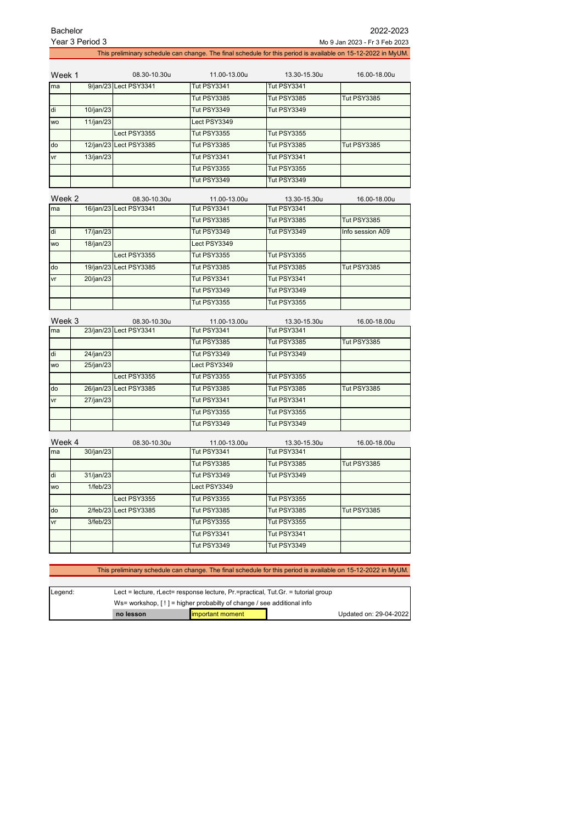| <b>Bachelor</b> |                 |                        |                    |                    | 2022-2023                                                                                                    |
|-----------------|-----------------|------------------------|--------------------|--------------------|--------------------------------------------------------------------------------------------------------------|
|                 | Year 3 Period 3 |                        |                    |                    | Mo 9 Jan 2023 - Fr 3 Feb 2023                                                                                |
|                 |                 |                        |                    |                    | This preliminary schedule can change. The final schedule for this period is available on 15-12-2022 in MyUM. |
| Week 1          |                 | 08.30-10.30u           | 11.00-13.00u       | 13.30-15.30u       | 16.00-18.00u                                                                                                 |
| ma              |                 | 9/jan/23 Lect PSY3341  | <b>Tut PSY3341</b> | <b>Tut PSY3341</b> |                                                                                                              |
|                 |                 |                        | <b>Tut PSY3385</b> | Tut PSY3385        | <b>Tut PSY3385</b>                                                                                           |
| di              | 10/jan/23       |                        | <b>Tut PSY3349</b> | <b>Tut PSY3349</b> |                                                                                                              |
| <b>WO</b>       | 11/jan/23       |                        | Lect PSY3349       |                    |                                                                                                              |
|                 |                 | Lect PSY3355           | <b>Tut PSY3355</b> | <b>Tut PSY3355</b> |                                                                                                              |
| do              |                 | 12/jan/23 Lect PSY3385 | <b>Tut PSY3385</b> | <b>Tut PSY3385</b> | <b>Tut PSY3385</b>                                                                                           |
| ٧r              | 13/jan/23       |                        | <b>Tut PSY3341</b> | <b>Tut PSY3341</b> |                                                                                                              |
|                 |                 |                        | <b>Tut PSY3355</b> | <b>Tut PSY3355</b> |                                                                                                              |
|                 |                 |                        | <b>Tut PSY3349</b> | <b>Tut PSY3349</b> |                                                                                                              |
| Week 2          |                 | 08.30-10.30u           | 11.00-13.00u       | 13.30-15.30u       | 16.00-18.00u                                                                                                 |
| ma              |                 | 16/jan/23 Lect PSY3341 | <b>Tut PSY3341</b> | Tut PSY3341        |                                                                                                              |
|                 |                 |                        | <b>Tut PSY3385</b> | Tut PSY3385        | Tut PSY3385                                                                                                  |
| di              | 17/jan/23       |                        | <b>Tut PSY3349</b> | <b>Tut PSY3349</b> | Info session A09                                                                                             |
| <b>WO</b>       | 18/jan/23       |                        | Lect PSY3349       |                    |                                                                                                              |
|                 |                 | Lect PSY3355           | <b>Tut PSY3355</b> | <b>Tut PSY3355</b> |                                                                                                              |
| do              |                 | 19/jan/23 Lect PSY3385 | <b>Tut PSY3385</b> | <b>Tut PSY3385</b> | <b>Tut PSY3385</b>                                                                                           |
| vr              | 20/jan/23       |                        | <b>Tut PSY3341</b> | Tut PSY3341        |                                                                                                              |
|                 |                 |                        | <b>Tut PSY3349</b> | Tut PSY3349        |                                                                                                              |
|                 |                 |                        | <b>Tut PSY3355</b> | <b>Tut PSY3355</b> |                                                                                                              |
| Week 3          |                 | 08.30-10.30u           | 11.00-13.00u       | 13.30-15.30u       | 16.00-18.00u                                                                                                 |
| ma              |                 | 23/jan/23 Lect PSY3341 | <b>Tut PSY3341</b> | <b>Tut PSY3341</b> |                                                                                                              |
|                 |                 |                        | <b>Tut PSY3385</b> | <b>Tut PSY3385</b> | <b>Tut PSY3385</b>                                                                                           |
| di              | 24/jan/23       |                        | <b>Tut PSY3349</b> | <b>Tut PSY3349</b> |                                                                                                              |
| <b>WO</b>       | 25/jan/23       |                        | Lect PSY3349       |                    |                                                                                                              |
|                 |                 | Lect PSY3355           | <b>Tut PSY3355</b> | <b>Tut PSY3355</b> |                                                                                                              |
| do              |                 | 26/jan/23 Lect PSY3385 | <b>Tut PSY3385</b> | <b>Tut PSY3385</b> | <b>Tut PSY3385</b>                                                                                           |
| ٧r              | 27/jan/23       |                        | <b>Tut PSY3341</b> | Tut PSY3341        |                                                                                                              |
|                 |                 |                        | <b>Tut PSY3355</b> | <b>Tut PSY3355</b> |                                                                                                              |
|                 |                 |                        | <b>Tut PSY3349</b> | <b>Tut PSY3349</b> |                                                                                                              |
| Week 4          |                 | 08.30-10.30u           | 11.00-13.00u       | 13.30-15.30u       | 16.00-18.00u                                                                                                 |
| ma              | 30/jan/23       |                        | Tut PSY3341        | Tut PSY3341        |                                                                                                              |
|                 |                 |                        | Tut PSY3385        | Tut PSY3385        | Tut PSY3385                                                                                                  |
| di              | 31/jan/23       |                        | Tut PSY3349        | Tut PSY3349        |                                                                                                              |
| WO              | 1/feb/23        |                        | Lect PSY3349       |                    |                                                                                                              |
|                 |                 | Lect PSY3355           | Tut PSY3355        | Tut PSY3355        |                                                                                                              |
| do              | 2/feb/23        | Lect PSY3385           | Tut PSY3385        | Tut PSY3385        | Tut PSY3385                                                                                                  |
| ٧r              | 3/feb/23        |                        | Tut PSY3355        | Tut PSY3355        |                                                                                                              |
|                 |                 |                        | Tut PSY3341        | Tut PSY3341        |                                                                                                              |
|                 |                 |                        | Tut PSY3349        | Tut PSY3349        |                                                                                                              |
|                 |                 |                        |                    |                    |                                                                                                              |
|                 |                 |                        |                    |                    |                                                                                                              |

|  | This preliminary schedule can change. The final schedule for this period is available on 15-12-2022 in MyUM. |  |
|--|--------------------------------------------------------------------------------------------------------------|--|
|  |                                                                                                              |  |

| Legend: | Lect = lecture, $r$ Lect= response lecture, $Pr$ =practical, $T$ ut. Gr. = tutorial group |                                                   |  |  |  |
|---------|-------------------------------------------------------------------------------------------|---------------------------------------------------|--|--|--|
|         | Ws= workshop, $[!]$ = higher probabilty of change / see additional info                   |                                                   |  |  |  |
|         | no lesson                                                                                 | Updated on: 29-04-2022<br><b>Important moment</b> |  |  |  |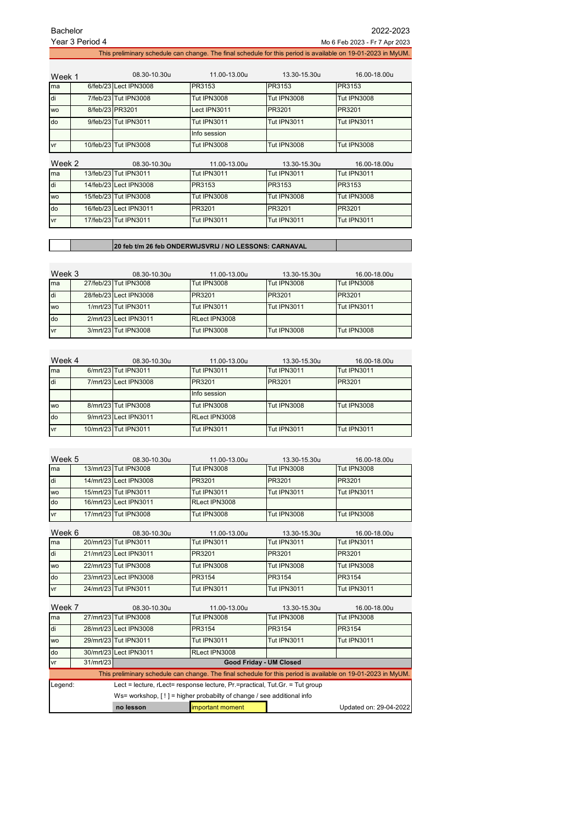| Bachelor        | 2022-2023                                                                                                    |
|-----------------|--------------------------------------------------------------------------------------------------------------|
| Year 3 Period 4 | Mo 6 Feb 2023 - Fr 7 Apr 2023                                                                                |
|                 | This preliminary schedule can change. The final schedule for this period is available on 19-01-2023 in MyUM. |

| Week 1    |                 | 08.30-10.30u           | 11.00-13.00u       | 13.30-15.30u       | 16.00-18.00u       |
|-----------|-----------------|------------------------|--------------------|--------------------|--------------------|
| ma        |                 | 6/feb/23 Lect IPN3008  | PR3153             | PR3153             | PR3153             |
| di        |                 | 7/feb/23 Tut IPN3008   | <b>Tut IPN3008</b> | <b>Tut IPN3008</b> | <b>Tut IPN3008</b> |
| <b>WO</b> | 8/feb/23 PR3201 |                        | Lect IPN3011       | PR3201             | PR3201             |
| do        |                 | 9/feb/23 Tut IPN3011   | <b>Tut IPN3011</b> | <b>Tut IPN3011</b> | <b>Tut IPN3011</b> |
|           |                 |                        | Info session       |                    |                    |
| vr        |                 | 10/feb/23 Tut IPN3008  | <b>Tut IPN3008</b> | <b>Tut IPN3008</b> | <b>Tut IPN3008</b> |
| Week 2    |                 | 08.30-10.30u           | 11.00-13.00u       | 13.30-15.30u       | 16.00-18.00u       |
| ma        |                 | 13/feb/23 Tut IPN3011  | <b>Tut IPN3011</b> | <b>Tut IPN3011</b> | <b>Tut IPN3011</b> |
| di        |                 | 14/feb/23 Lect IPN3008 | PR3153             | PR3153             | PR3153             |
| <b>WO</b> |                 | 15/feb/23 Tut IPN3008  | <b>Tut IPN3008</b> | <b>Tut IPN3008</b> | <b>Tut IPN3008</b> |
| do        |                 | 16/feb/23 Lect IPN3011 | PR3201             | PR3201             | PR3201             |
| vr        |                 | 17/feb/23 Tut IPN3011  | <b>Tut IPN3011</b> | <b>Tut IPN3011</b> | <b>Tut IPN3011</b> |

## **20 feb t/m 26 feb ONDERWIJSVRIJ / NO LESSONS: CARNAVAL**

| Week 3    | 08.30-10.30u           | 11.00-13.00u       | 13.30-15.30u       | 16.00-18.00u       |
|-----------|------------------------|--------------------|--------------------|--------------------|
| ma        | 27/feb/23 Tut IPN3008  | <b>Tut IPN3008</b> | <b>Tut IPN3008</b> | <b>Tut IPN3008</b> |
| di        | 28/feb/23 Lect IPN3008 | PR3201             | PR3201             | PR3201             |
| <b>WO</b> | 1/mrt/23 Tut IPN3011   | Tut IPN3011        | Tut IPN3011        | Tut IPN3011        |
| do        | 2/mrt/23 Lect IPN3011  | RLect IPN3008      |                    |                    |
| vr        | 3/mrt/23 Tut IPN3008   | <b>Tut IPN3008</b> | <b>Tut IPN3008</b> | <b>Tut IPN3008</b> |

| Week 4    | 08.30-10.30u          | 11.00-13.00u       | 13.30-15.30u       | 16.00-18.00u |
|-----------|-----------------------|--------------------|--------------------|--------------|
| ma        | 6/mrt/23 Tut IPN3011  | <b>Tut IPN3011</b> | <b>Tut IPN3011</b> | Tut IPN3011  |
| di        | 7/mrt/23 Lect IPN3008 | PR3201             | PR3201             | PR3201       |
|           |                       | Info session       |                    |              |
| <b>WO</b> | 8/mrt/23 Tut IPN3008  | Tut IPN3008        | Tut IPN3008        | Tut IPN3008  |
| do        | 9/mrt/23 Lect IPN3011 | RLect IPN3008      |                    |              |
| vr        | 10/mrt/23 Tut IPN3011 | Tut IPN3011        | Tut IPN3011        | Tut IPN3011  |

| Week 5 | 08.30-10.30u           | 11.00-13.00u       | 13.30-15.30u       | 16.00-18.00u       |
|--------|------------------------|--------------------|--------------------|--------------------|
| ma     | 13/mrt/23 Tut IPN3008  | <b>Tut IPN3008</b> | Tut IPN3008        | <b>Tut IPN3008</b> |
| di     | 14/mrt/23 Lect IPN3008 | PR3201             | PR3201             | PR3201             |
| wo     | 15/mrt/23 Tut IPN3011  | <b>Tut IPN3011</b> | <b>Tut IPN3011</b> | Tut IPN3011        |
| do     | 16/mrt/23 Lect IPN3011 | RLect IPN3008      |                    |                    |
| vr     | 17/mrt/23 Tut IPN3008  | <b>Tut IPN3008</b> | <b>Tut IPN3008</b> | <b>Tut IPN3008</b> |

| Week 6    | 08.30-10.30u           | 11.00-13.00u       | 13.30-15.30u       | 16.00-18.00u       |
|-----------|------------------------|--------------------|--------------------|--------------------|
| ma        | 20/mrt/23 Tut IPN3011  | Tut IPN3011        | Tut IPN3011        | <b>Tut IPN3011</b> |
| di        | 21/mrt/23 Lect IPN3011 | PR3201             | PR3201             | PR3201             |
| <b>WO</b> | 22/mrt/23 Tut IPN3008  | Tut IPN3008        | <b>Tut IPN3008</b> | <b>Tut IPN3008</b> |
| do        | 23/mrt/23 Lect IPN3008 | PR3154             | PR3154             | PR3154             |
| vr        | 24/mrt/23 Tut IPN3011  | <b>Tut IPN3011</b> | <b>Tut IPN3011</b> | <b>Tut IPN3011</b> |

| Week 7                                                                                 |                                                                       | 08.30-10.30u                                                                                                 | 11.00-13.00u       | 13.30-15.30u       | 16.00-18.00u           |  |
|----------------------------------------------------------------------------------------|-----------------------------------------------------------------------|--------------------------------------------------------------------------------------------------------------|--------------------|--------------------|------------------------|--|
| ma                                                                                     |                                                                       | 27/mrt/23 Tut IPN3008                                                                                        | <b>Tut IPN3008</b> | <b>Tut IPN3008</b> | <b>Tut IPN3008</b>     |  |
| di                                                                                     |                                                                       | 28/mrt/23 Lect IPN3008                                                                                       | PR3154             | PR3154             | PR3154                 |  |
| <b>WO</b>                                                                              |                                                                       | 29/mrt/23 Tut IPN3011                                                                                        | <b>Tut IPN3011</b> | Tut IPN3011        | Tut IPN3011            |  |
| do                                                                                     |                                                                       | 30/mrt/23 Lect IPN3011                                                                                       | RLect IPN3008      |                    |                        |  |
| vr                                                                                     | 31/mrt/23                                                             | Good Friday - UM Closed                                                                                      |                    |                    |                        |  |
|                                                                                        |                                                                       | This preliminary schedule can change. The final schedule for this period is available on 19-01-2023 in MyUM. |                    |                    |                        |  |
| Lect = lecture, rLect= response lecture, Pr.=practical, Tut.Gr. = Tut group<br>Legend: |                                                                       |                                                                                                              |                    |                    |                        |  |
|                                                                                        | Ws= workshop, [!] = higher probabilty of change / see additional info |                                                                                                              |                    |                    |                        |  |
|                                                                                        |                                                                       | no lesson                                                                                                    | important moment   |                    | Updated on: 29-04-2022 |  |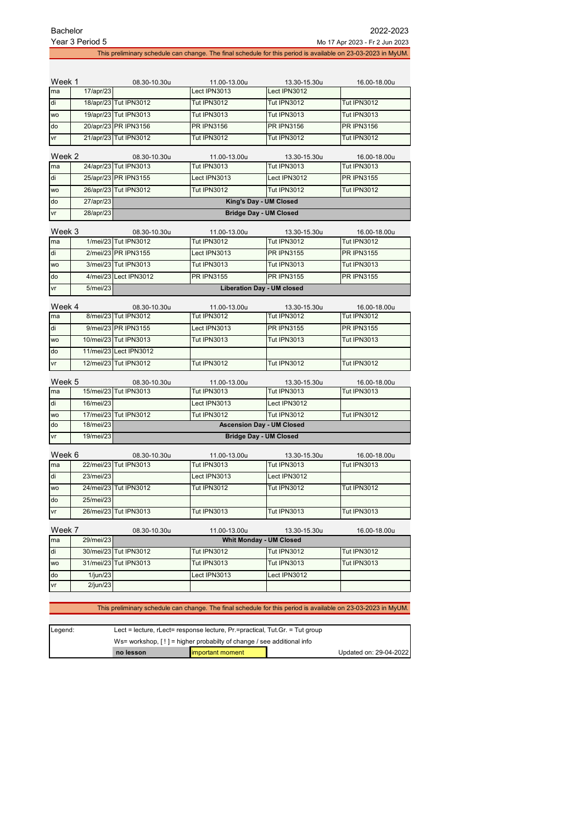| <b>Bachelor</b> | Year 3 Period 5                                                        |                        |                              |                                   | 2022-2023<br>Mo 17 Apr 2023 - Fr 2 Jun 2023                                                                  |  |  |
|-----------------|------------------------------------------------------------------------|------------------------|------------------------------|-----------------------------------|--------------------------------------------------------------------------------------------------------------|--|--|
|                 |                                                                        |                        |                              |                                   | This preliminary schedule can change. The final schedule for this period is available on 23-03-2023 in MyUM. |  |  |
|                 |                                                                        |                        |                              |                                   |                                                                                                              |  |  |
| Week 1<br>ma    | 17/apr/23                                                              | 08.30-10.30u           | 11.00-13.00u<br>Lect IPN3013 | 13.30-15.30u<br>Lect IPN3012      | 16.00-18.00u                                                                                                 |  |  |
|                 |                                                                        |                        | <b>Tut IPN3012</b>           | <b>Tut IPN3012</b>                | <b>Tut IPN3012</b>                                                                                           |  |  |
| di              |                                                                        | 18/apr/23 Tut IPN3012  |                              |                                   |                                                                                                              |  |  |
| <b>WO</b>       |                                                                        | 19/apr/23 Tut IPN3013  | <b>Tut IPN3013</b>           | <b>Tut IPN3013</b>                | <b>Tut IPN3013</b>                                                                                           |  |  |
| do              |                                                                        | 20/apr/23 PR IPN3156   | <b>PR IPN3156</b>            | <b>PR IPN3156</b>                 | <b>PR IPN3156</b>                                                                                            |  |  |
| ٧r              |                                                                        | 21/apr/23 Tut IPN3012  | <b>Tut IPN3012</b>           | <b>Tut IPN3012</b>                | <b>Tut IPN3012</b>                                                                                           |  |  |
| Week 2          |                                                                        | 08.30-10.30u           | 11.00-13.00u                 | 13.30-15.30u                      | 16.00-18.00u                                                                                                 |  |  |
| ma              |                                                                        | 24/apr/23 Tut IPN3013  | <b>Tut IPN3013</b>           | <b>Tut IPN3013</b>                | <b>Tut IPN3013</b>                                                                                           |  |  |
| di              |                                                                        | 25/apr/23 PR IPN3155   | Lect IPN3013                 | Lect IPN3012                      | <b>PR IPN3155</b>                                                                                            |  |  |
| wo              |                                                                        | 26/apr/23 Tut IPN3012  | <b>Tut IPN3012</b>           | <b>Tut IPN3012</b>                | <b>Tut IPN3012</b>                                                                                           |  |  |
| do              | 27/apr/23                                                              |                        |                              | King's Day - UM Closed            |                                                                                                              |  |  |
| vr              | <b>Bridge Day - UM Closed</b><br>28/apr/23                             |                        |                              |                                   |                                                                                                              |  |  |
|                 | Week 3<br>08.30-10.30u<br>11.00-13.00u<br>13.30-15.30u<br>16.00-18.00u |                        |                              |                                   |                                                                                                              |  |  |
| ma              |                                                                        | 1/mei/23 Tut IPN3012   | <b>Tut IPN3012</b>           | <b>Tut IPN3012</b>                | <b>Tut IPN3012</b>                                                                                           |  |  |
| di              |                                                                        | 2/mei/23 PR IPN3155    | Lect IPN3013                 | <b>PR IPN3155</b>                 | <b>PR IPN3155</b>                                                                                            |  |  |
| wo              |                                                                        | 3/mei/23 Tut IPN3013   | <b>Tut IPN3013</b>           | <b>Tut IPN3013</b>                | <b>Tut IPN3013</b>                                                                                           |  |  |
| do              |                                                                        | 4/mei/23 Lect IPN3012  | <b>PR IPN3155</b>            | <b>PR IPN3155</b>                 | <b>PR IPN3155</b>                                                                                            |  |  |
| vr              | 5/mei/23                                                               |                        |                              | <b>Liberation Day - UM closed</b> |                                                                                                              |  |  |
| Week 4          |                                                                        | 08.30-10.30u           | 11.00-13.00u                 | 13.30-15.30u                      | 16.00-18.00u                                                                                                 |  |  |
| ma              |                                                                        | 8/mei/23 Tut IPN3012   | <b>Tut IPN3012</b>           | <b>Tut IPN3012</b>                | <b>Tut IPN3012</b>                                                                                           |  |  |
| di              |                                                                        | 9/mei/23 PR IPN3155    | Lect IPN3013                 | <b>PR IPN3155</b>                 | <b>PR IPN3155</b>                                                                                            |  |  |
| <b>WO</b>       |                                                                        | 10/mei/23 Tut IPN3013  | <b>Tut IPN3013</b>           | <b>Tut IPN3013</b>                | <b>Tut IPN3013</b>                                                                                           |  |  |
| do              |                                                                        | 11/mei/23 Lect IPN3012 |                              |                                   |                                                                                                              |  |  |
| vr              | 12/mei/23                                                              | <b>Tut IPN3012</b>     | <b>Tut IPN3012</b>           | <b>Tut IPN3012</b>                | <b>Tut IPN3012</b>                                                                                           |  |  |
| Week 5          |                                                                        | 08.30-10.30u           | 11.00-13.00u                 | 13.30-15.30u                      | 16.00-18.00u                                                                                                 |  |  |
| ma              |                                                                        | 15/mei/23 Tut IPN3013  | <b>Tut IPN3013</b>           | <b>Tut IPN3013</b>                | <b>Tut IPN3013</b>                                                                                           |  |  |
| di              | 16/mei/23                                                              |                        | Lect IPN3013                 | Lect IPN3012                      |                                                                                                              |  |  |
| <b>WO</b>       | 17/mei/23                                                              | <b>Tut IPN3012</b>     | <b>Tut IPN3012</b>           | <b>Tut IPN3012</b>                | <b>Tut IPN3012</b>                                                                                           |  |  |
| do              | 18/mei/23                                                              |                        |                              | <b>Ascension Day - UM Closed</b>  |                                                                                                              |  |  |
| ٧r              | 19/mei/23                                                              |                        |                              | <b>Bridge Day - UM Closed</b>     |                                                                                                              |  |  |
| Week 6          |                                                                        | 08.30-10.30u           | 11.00-13.00u                 | 13.30-15.30u                      | 16.00-18.00u                                                                                                 |  |  |
| ma              |                                                                        | 22/mei/23 Tut IPN3013  | <b>Tut IPN3013</b>           | <b>Tut IPN3013</b>                | <b>Tut IPN3013</b>                                                                                           |  |  |
| di              | $23/m$ ei/23                                                           |                        | $A1$ IPN3013                 | Lect IPN3012                      |                                                                                                              |  |  |

|           | 23/mei/23 |                       | Lect IPN3013       | Lect IPN3012       |             |
|-----------|-----------|-----------------------|--------------------|--------------------|-------------|
| <b>WO</b> |           | 24/mei/23 Tut IPN3012 | <b>Tut IPN3012</b> | <b>Tut IPN3012</b> | Tut IPN3012 |
| do        | 25/mei/23 |                       |                    |                    |             |
| vr        |           | 26/mei/23 Tut IPN3013 | <b>Tut IPN3013</b> | <b>Tut IPN3013</b> | Tut IPN3013 |

| Week 7    |             | 08.30-10.30u          | 11.00-13.00u       | 13.30-15.30u                   | 16.00-18.00u       |
|-----------|-------------|-----------------------|--------------------|--------------------------------|--------------------|
| ma        | 29/mei/23   |                       |                    | <b>Whit Monday - UM Closed</b> |                    |
| ldi       |             | 30/mei/23 Tut IPN3012 | <b>Tut IPN3012</b> | <b>Tut IPN3012</b>             | Tut IPN3012        |
| <b>WO</b> |             | 31/mei/23 Tut IPN3013 | <b>Tut IPN3013</b> | <b>Tut IPN3013</b>             | <b>Tut IPN3013</b> |
| do        | $1/$ iun/23 |                       | Lect IPN3013       | Lect IPN3012                   |                    |
| vr        | $2$ /jun/23 |                       |                    |                                |                    |

## This preliminary schedule can change. The final schedule for this period is available on 23-03-2023 in MyUM.

| Legend:                                                                 | Lect = lecture, $r$ Lect= response lecture, $Pr$ =practical, $Tut.Gr.$ = Tut group |                   |  |                        |
|-------------------------------------------------------------------------|------------------------------------------------------------------------------------|-------------------|--|------------------------|
| Ws= workshop, $[!]$ = higher probabilty of change / see additional info |                                                                                    |                   |  |                        |
|                                                                         | no lesson                                                                          | limportant moment |  | Updated on: 29-04-2022 |